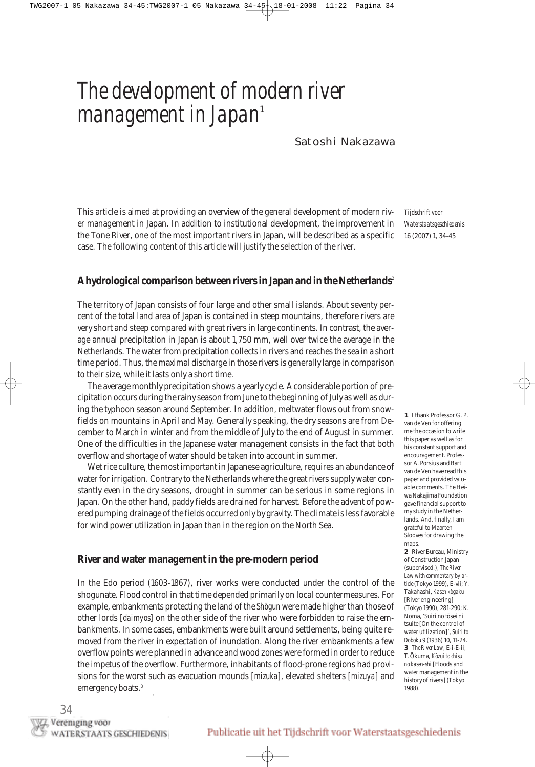# *The development of modern river management in Japan*<sup>1</sup>

## Satoshi Nakazawa

This article is aimed at providing an overview of the general development of modern river management in Japan. In addition to institutional development, the improvement in the Tone River, one of the most important rivers in Japan, will be described as a specific case. The following content of this article will justify the selection of the river.

*Tijdschrift voor Waterstaatsgeschiedenis* 16 (2007) 1, 34-45

## **Ahydrological comparison between rivers in Japan and in the Netherlands** 2

The territory of Japan consists of four large and other small islands. About seventy percent of the total land area of Japan is contained in steep mountains, therefore rivers are very short and steep compared with great rivers in large continents. In contrast, the average annual precipitation in Japan is about 1,750 mm, well over twice the average in the Netherlands. The water from precipitation collects in rivers and reaches the sea in a short time period. Thus, the maximal discharge in those rivers is generally large in comparison to their size, while it lasts only a short time.

The average monthly precipitation shows a yearly cycle. A considerable portion of precipitation occurs during the rainy season from June to the beginning of July aswell as during the typhoon season around September. In addition, meltwater flows out from snowfields on mountains in April and May. Generally speaking, the dry seasons are from December to March in winter and from the middle of July to the end of August in summer. One of the difficulties in the Japanese water management consists in the fact that both overflow and shortage of water should be taken into account in summer.

Wet rice culture, the most important in Japanese agriculture, requires an abundance of water for irrigation. Contrary to the Netherlands where the great rivers supply water constantly even in the dry seasons, drought in summer can be serious in some regions in Japan. On the other hand, paddy fields are drained for harvest. Before the advent of powered pumping drainage of the fields occurred only by gravity. The climate is less favorable for wind power utilization in Japan than in the region on the North Sea.

#### **River and water management in the pre-modern period**

In the Edo period (1603-1867), river works were conducted under the control of the shogunate. Flood control in that time depended primarily on local countermeasures. For example, embankments protecting the land of the *Shogun* were made higher than those of other lords [*daimyos*] on the other side of the river who were forbidden to raise the embankments. In some cases, embankments were built around settlements, being quite removed from the river in expectation of inundation. Along the river embankments a few overflow points were planned in advance and wood zones were formed in order to reduce the impetus of the overflow. Furthermore, inhabitants of flood-prone regions had provisions for the worst such as evacuation mounds [*mizuka*], elevated shelters [*mizuya*] and emergency boats.<sup>3</sup>

van de Ven for offering me the occasion to write this paper as well as for his constant support and encouragement. Professor A. Porsius and Bart van de Ven have read this paper and provided valuable comments. The Heiwa Nakajima Foundation gave financial support to my study in the Netherlands. And, finally, I am grateful to Maarten Slooves for drawing the maps. **2** River Bureau, Ministry of Construction Japan (supervised*.*), *The River Law with commentary by article* (Tokyo 1999), E-vii; Y. Takahashi, *Kasen k¯ogaku* [River engineering] (Tokyo 1990), 281-290; K. Noma, 'Suiri no tōsei ni tsuite [On the control of water utilization]', *Suiri to Doboku* 9 (1936)10,11-24. **3** *The River Law*, E-i-E-ii; T.O¯ kuma, *K¯ozui to chisui no kasen-shi* [Floods and water management in the

history of rivers] (Tokyo

1988).

**1** I thank Professor G. P.

34 Vereniging voor **WATERSTAATS GESCHIEDENIS**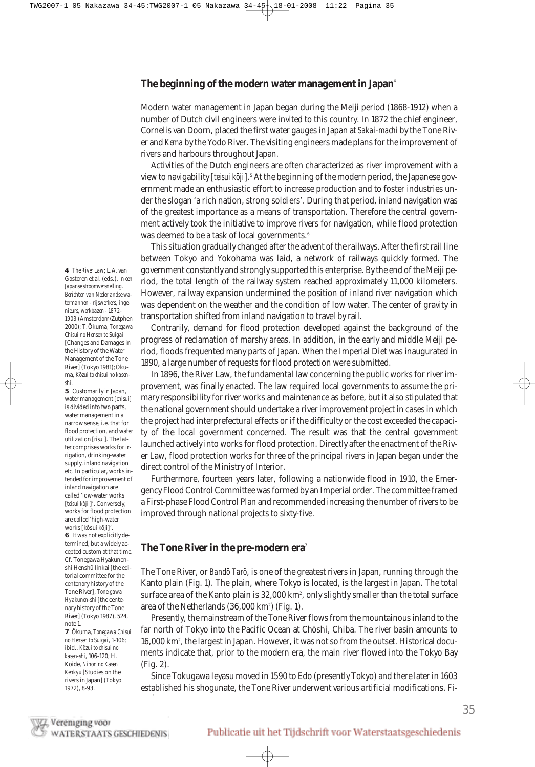#### **The beginning of the modern water management in Japan**<sup>4</sup>

Modern water management in Japan began during the Meiji period (1868-1912) when a number of Dutch civil engineers were invited to this country. In 1872 the chief engineer, Cornelis van Doorn, placed the first water gauges in Japan at *Sakai-machi* by the Tone River and *Kema* by the Yodo River. The visiting engineers made plans for the improvement of rivers and harbours throughout Japan.

Activities of the Dutch engineers are often characterized as river improvement with a view to navigability [*teisui kōji*].<sup>5</sup> At the beginning of the modern period, the Japanese government made an enthusiastic effort to increase production and to foster industries under the slogan 'a rich nation, strong soldiers'. During that period, inland navigation was of the greatest importance as a means of transportation. Therefore the central government actively took the initiative to improve rivers for navigation, while flood protection was deemed to be a task of local governments.<sup>6</sup>

This situation gradually changed after the advent of the railways. After the first rail line between Tokyo and Yokohama was laid, a network of railways quickly formed. The government constantly and strongly supported this enterprise. By the end of the Meiji period, the total length of the railway system reached approximately 11,000 kilometers. However, railway expansion undermined the position of inland river navigation which was dependent on the weather and the condition of low water. The center of gravity in transportation shifted from inland navigation to travel by rail.

Contrarily, demand for flood protection developed against the background of the progress of reclamation of marshy areas. In addition, in the early and middle Meiji period, floods frequented many parts of Japan. When the Imperial Diet was inaugurated in 1890, a large number of requests for flood protection were submitted.

In 1896, the River Law, the fundamental law concerning the public works for river improvement, was finally enacted. The law required local governments to assume the primary responsibility for river works and maintenance as before, but it also stipulated that the national government should undertake a river improvement project in cases in which the project had interprefectural effects or if the difficulty or the cost exceeded the capacity of the local government concerned. The result was that the central government launched actively into works for flood protection. Directly after the enactment of the River Law, flood protection works for three of the principal rivers in Japan began under the direct control of the Ministry of Interior.

Furthermore, fourteen years later, following a nationwide flood in 1910, the Emergency Flood Control Committeewas formed by an Imperial order. The committee framed a First-phase Flood Control Plan and recommended increasing the number ofrivers to be improved through national projects to sixty-five.

#### **The Tone River in the pre-modern era**<sup>7</sup>

The Tone River, or *Bandō Tarō*, is one of the greatest rivers in Japan, running through the Kanto plain (Fig. 1). The plain, where Tokyo is located, is the largest in Japan. The total surface area of the Kanto plain is  $32,000$  km<sup>2</sup>, only slightly smaller than the total surface area of the Netherlands (36,000 km<sup>2</sup>) (Fig. 1).

Presently, the mainstream of the Tone River flows from the mountainous inland to the far north of Tokyo into the Pacific Ocean at Chōshi, Chiba. The river basin amounts to 16,000 km<sup>2</sup>, the largest in Japan. However, it was not so from the outset. Historical documents indicate that, prior to the modern era, the main river flowed into the Tokyo Bay (Fig. 2).

Since Tokugawa Ieyasu moved in 1590 to Edo (presently Tokyo) and there later in 1603 established his shogunate, the Tone River underwent various artificial modifications. Fi-

**4** *The River Law*; L.A. van Gasteren et al. (eds.), *In een Japanse stroomversnelling. Berichten van Nederlandse watermannen - rijswerkers, ingenieurs, werkbazen -1872- 1903* (Amsterdam/Zutphen 2000); T.O¯ kuma, *Tonegawa Chisui no Hensen to Suigai* [Changes and Damages in the History of the Water Management of the Tone River] (Tokyo 1981); Okuma, *K¯ozui to chisui no kasenshi*.

**5** Customarily in Japan, water management [*chisui*] is divided into two parts, water management in a narrow sense, i.e. that for flood protection, and water utilization [*risui*]. The latter comprises works for irrigation, drinking-water supply, inland navigation etc. In particular, works intended for improvement of inland navigation are called 'low-water works [teisui kōji]'. Conversely, works for flood protection are called 'high-water works [kōsui kōji]'.

**6** It was not explicitly determined, but a widely accepted custom at that time. Cf. Tonegawa Hyakunenshi Henshū Iinkai [the editorial committee for the centenary history of the Tone River], *Tone-gawa Hyakunen-shi* [the centenary history of the Tone River] (Tokyo 1987), 524, note 1.

**7** O¯ kuma, *Tonegawa Chisui no Hensen to Suigai*,1-106; ibid., *K¯ozui to chisui no kasen-shi*,106-120; H. Koide, *Nihon no Kasen Kenkyu* [Studies on the rivers in Japan] (Tokyo 1972), 8-93.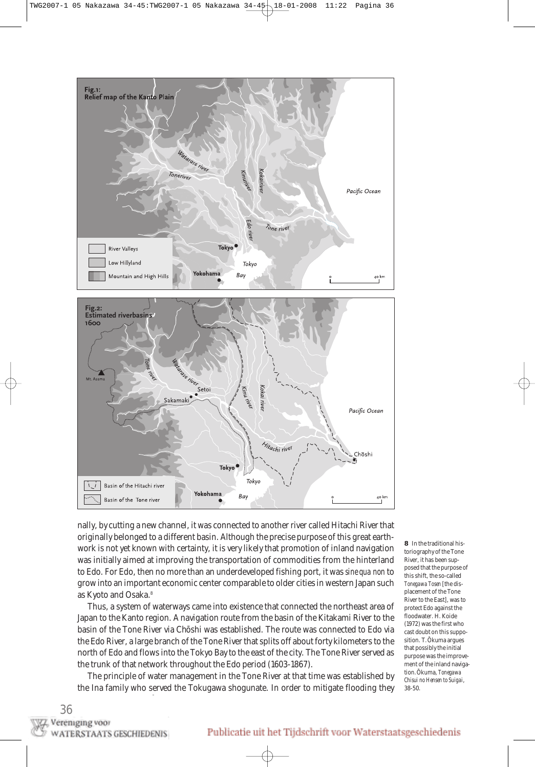

nally, by cutting a new channel, it was connected to another river called Hitachi River that originally belonged to a different basin. Although the precise purpose of this great earthwork is not yet known with certainty, it is very likely that promotion of inland navigation was initially aimed at improving the transportation of commodities from the hinterland to Edo. For Edo, then no more than an underdeveloped fishing port, it was *sine qua non* to grow into an important economic center comparable to older cities in western Japan such as Kyoto and Osaka.<sup>8</sup>

Thus, a system of waterways came into existence that connected the northeast area of Japan to the Kanto region. A navigation route from the basin of the Kitakami River to the basin of the Tone River via Chōshi was established. The route was connected to Edo via the Edo River, a large branch of the Tone Riverthat splits off about forty kilometers to the north of Edo and flows into the Tokyo Bay to the east of the city. The Tone River served as the trunk of that network throughout the Edo period (1603-1867).

The principle of water management in the Tone River at that time was established by the Ina family who served the Tokugawa shogunate. In order to mitigate flooding they

**8** In the traditional historiography of the Tone River, it has been supposed that the purpose of this shift, the so-called *Tonegawa Tosen* [the displacement of the Tone River to the East], was to protect Edo against the floodwater. H. Koide (1972) was the first who cast doubt on this supposition. T. Okuma argues that possibly the initial purpose was the improvement of the inland navigation. Ōkuma, Tonegawa *Chisui no Hensen to Suigai*, 38-50.

36 Vereniging voor **WATERSTAATS GESCHIEDENIS**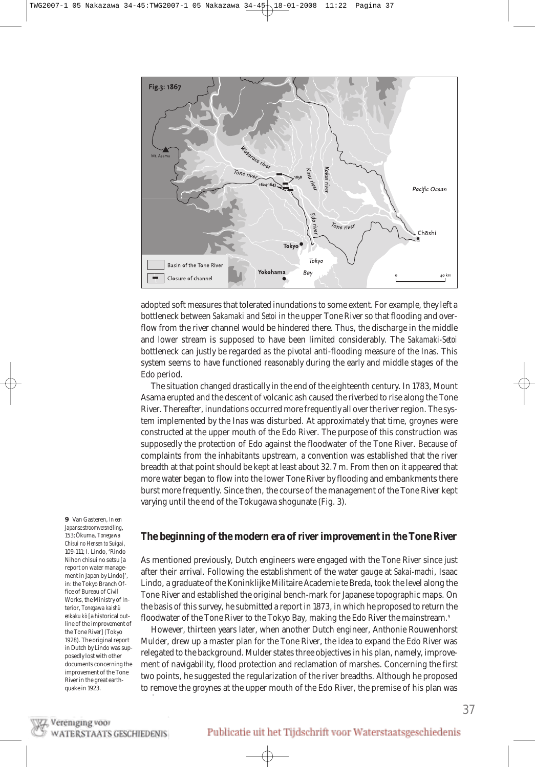

adopted soft measures that tolerated inundations to some extent. For example, they left a bottleneck between *Sakamaki* and *Setoi* in the upper Tone River so that flooding and overflow from the river channel would be hindered there. Thus, the discharge in the middle and lower stream is supposed to have been limited considerably. The *Sakamaki-Setoi* bottleneck can justly be regarded as the pivotal anti-flooding measure of the Inas. This system seems to have functioned reasonably during the early and middle stages of the Edo period.

The situation changed drastically in the end of the eighteenth century. In 1783, Mount Asama erupted and the descent of volcanic ash caused the riverbed to rise along the Tone River. Thereafter, inundations occurred more frequently all over the river region. The system implemented by the Inas was disturbed. At approximately that time, groynes were constructed at the upper mouth of the Edo River. The purpose of this construction was supposedly the protection of Edo against the floodwater of the Tone River. Because of complaints from the inhabitants upstream, a convention was established that the river breadth at that point should be kept at least about 32.7 m. From then on it appeared that more water began to flow into the lower Tone River by flooding and embankments there burst more frequently. Since then, the course of the management of the Tone River kept varying until the end of the Tokugawa shogunate (Fig. 3).

**9** Van Gasteren, *In een Japanse stroomversnelling*, 153;O¯ kuma, *Tonegawa Chisui no Hensen to Suigai*, 109-111; I. Lindo, 'Rindo Nihon chisui no setsu [a report on water management in Japan by Lindo]', in: the Tokyo Branch Office of Bureau of Civil Works, the Ministry of Interior, *Tonegawa kaishu¯ enkaku k¯o* [a historical outline of the improvement of the Tone River] (Tokyo 1928). The original report in Dutch by Lindo was supposedly lost with other documents concerning the improvement of the Tone River in the great earthquake in 1923.

#### **The beginning of the modern era of river improvement in the Tone River**

As mentioned previously, Dutch engineers were engaged with the Tone River since just after their arrival. Following the establishment of the water gauge at *Sakai-machi*, Isaac Lindo, a graduate of the Koninklijke Militaire Academie te Breda, took the level along the Tone River and established the original bench-mark for Japanese topographic maps. On the basis of this survey, he submitted a report in 1873, in which he proposed to return the floodwater of the Tone River to the Tokyo Bay, making the Edo River the mainstream.<sup>9</sup>

However, thirteen years later, when another Dutch engineer, Anthonie Rouwenhorst Mulder, drew up a master plan for the Tone River, the idea to expand the Edo River was relegated to the background. Mulder states three objectives in his plan, namely, improvement of navigability, flood protection and reclamation of marshes. Concerning the first two points, he suggested the regularization of the river breadths. Although he proposed to remove the groynes at the upper mouth of the Edo River, the premise of his plan was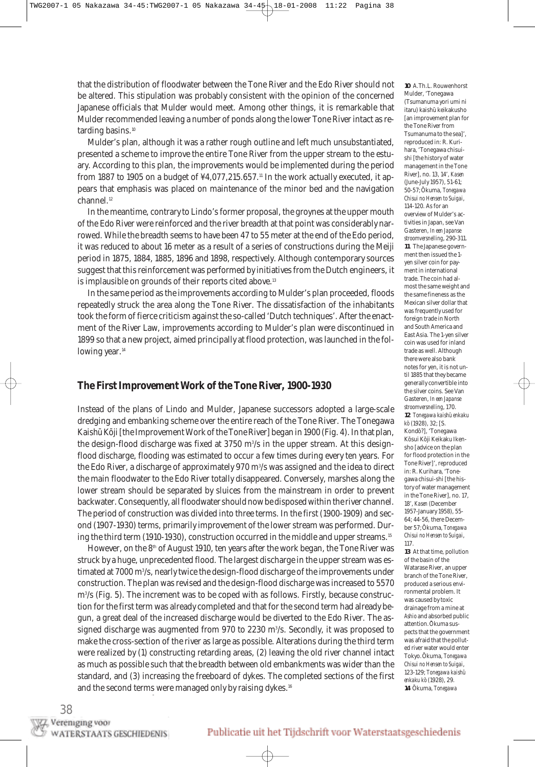that the distribution of floodwater between the Tone River and the Edo River should not be altered. This stipulation was probably consistent with the opinion of the concerned Japanese officials that Mulder would meet. Among other things, it is remarkable that Mulder recommended leaving a number of ponds along the lower Tone River intact as retarding basins. 10

Mulder's plan, although it was a rather rough outline and left much unsubstantiated, presented a scheme to improve the entire Tone River from the upper stream to the estuary. According to this plan, the improvements would be implemented during the period from 1887 to 1905 on a budget of  $44,077,215.657$ .<sup>11</sup> In the work actually executed, it appears that emphasis was placed on maintenance of the minor bed and the navigation channel. 12

In the meantime, contrary to Lindo's former proposal, the groynes at the upper mouth of the Edo River were reinforced and the river breadth at that point was considerably narrowed. While the breadth seems to have been 47 to 55 meter at the end of the Edo period, it was reduced to about 16 meter as a result of a series of constructions during the Meiji period in 1875, 1884, 1885, 1896 and 1898, respectively. Although contemporary sources suggest that this reinforcement was performed by initiatives from the Dutch engineers, it is implausible on grounds of their reports cited above.<sup>13</sup>

In the same period as the improvements according to Mulder's plan proceeded, floods repeatedly struck the area along the Tone River. The dissatisfaction of the inhabitants took the form of fierce criticism against the so-called 'Dutch techniques'. Afterthe enactment of the River Law, improvements according to Mulder's plan were discontinued in 1899 so that a new project, aimed principally at flood protection, was launched in the following year. 14

#### **The First Improvement Work of the Tone River, 1900-1930**

Instead of the plans of Lindo and Mulder, Japanese successors adopted a large-scale dredging and embanking scheme over the entire reach of the Tone River. The Tonegawa Kaishū Kōji [the Improvement Work of the Tone River] began in 1900 (Fig. 4). In that plan, the design-flood discharge was fixed at 3750 m<sup>3</sup>/s in the upper stream. At this designflood discharge, flooding was estimated to occur a few times during every ten years. For the Edo River, a discharge of approximately 970 m<sup>3</sup>/s was assigned and the idea to direct the main floodwater to the Edo River totally disappeared. Conversely, marshes along the lower stream should be separated by sluices from the mainstream in order to prevent backwater.Consequently, allfloodwater shouldnowbe disposedwithinthe river channel. The period of construction was divided into three terms. In the first (1900-1909) and second (1907-1930) terms, primarily improvement of the lower stream was performed. During the third term (1910-1930), construction occurred in the middle and upper streams.<sup>15</sup>

However, on the 8<sup>th</sup> of August 1910, ten years after the work began, the Tone River was struck by a huge, unprecedented flood. The largest discharge in the upper stream was estimated at 7000 m<sup>3</sup>/s, nearly twice the design-flood discharge of the improvements under construction. The plan was revised and the design-flood discharge was increased to 5570 m<sup>3</sup>/s (Fig. 5). The increment was to be coped with as follows. Firstly, because construction for the first term was already completed and that for the second term had already begun, a great deal of the increased discharge would be diverted to the Edo River. The assigned discharge was augmented from 970 to 2230 m<sup>3</sup>/s. Secondly, it was proposed to make the cross-section of the river as large as possible. Alterations during the third term were realized by (1) constructing retarding areas, (2) leaving the old river channel intact as much as possible such that the breadth between old embankments was wider than the standard, and (3) increasing the freeboard of dykes. The completed sections of the first and the second terms were managed only by raising dykes.<sup>16</sup>

Mulder, 'Tonegawa (Tsumanuma yori umi ni itaru) kaishū keikakusho [an improvement plan for the Tone River from Tsumanuma to the sea]', reproduced in: R. Kurihara, 'Tonegawa chisuishi [the history of water management in the Tone River], no.13,14', *Kasen* (June-July 1957), 51-61; 50-57; Ōkuma, Tonegawa *Chisui no Hensen to Suigai*, 114-120. As for an overview of Mulder's activities in Japan, see Van Gasteren, *In een Japanse stroomversnelling*, 290-311. **11** The Japanese government then issued the 1 yen silver coin for payment in international trade. The coin had almost the same weight and the same fineness as the Mexican silver dollar that was frequently used for foreign trade in North and South America and East Asia. The 1-yen silver coin was used for inland trade as well. Although there were also bank notes for yen, it is not until 1885 that they became generally convertible into the silver coins. See Van Gasteren, *In een Japanse stroomversnelling*,170. **12** *Tonegawa kaishu¯ enkaku k¯o* (1928), 32; [S. Kondō?], 'Tonegawa Kōsui Kōji Keikaku Ikensho [advice on the plan for flood protection in the Tone River]', reproduced in: R. Kurihara, 'Tonegawa chisui-shi [the history of water management in the Tone River], no.17, 18', *Kasen* (December 1957-January 1958), 55- 64; 44-56, there December 57; Okuma, Tonegawa *Chisui no Hensen to Suigai*, 117. **13** At that time, pollution

**10** A.Th.L. Rouwenhorst

of the basin of the Watarase River, an upper branch of the Tone River, produced a serious environmental problem. It was caused by toxic drainage from a mine at *Ashio* and absorbed public attention. Okuma suspects that the government was afraid that the polluted river water would enter Tokyo. Ōkuma, Tonegawa *Chisui no Hensen to Suigai*, 123-129; *Tonegawa kaishu¯ enkaku k¯o* (1928), 29. 14 Ōkuma, Tonegawa

38 Z, Vereniging voor **WATERSTAATS GESCHIEDENIS**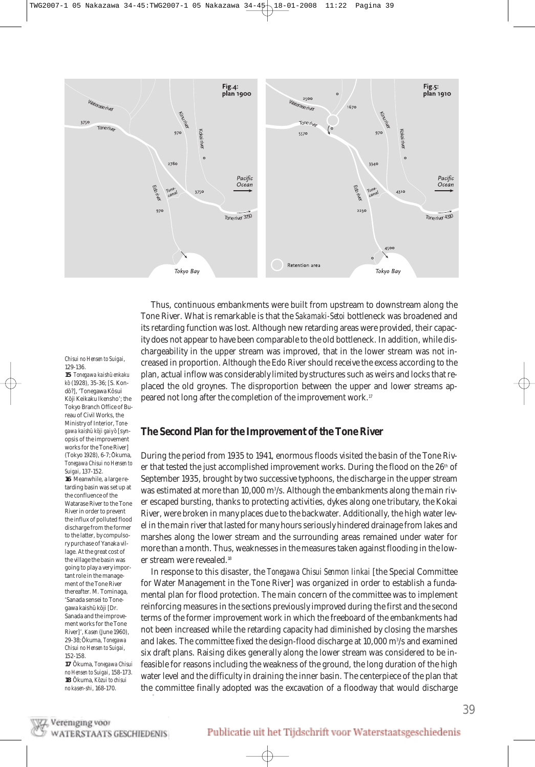

Thus, continuous embankments were built from upstream to downstream along the Tone River. What is remarkable is that the *Sakamaki-Setoi* bottleneck was broadened and its retarding function was lost. Although new retarding areas were provided, their capacity does not appear to have been comparable to the old bottleneck. In addition, while dischargeability in the upper stream was improved, that in the lower stream was not increased in proportion. Although the Edo River should receive the excess according to the plan, actual inflow was considerably limited by structures such as weirs and locks thatreplaced the old groynes. The disproportion between the upper and lower streams appeared not long after the completion of the improvement work.<sup>17</sup>

#### **The Second Plan for the Improvement of the Tone River**

During the period from 1935 to 1941, enormous floods visited the basin of the Tone River that tested the just accomplished improvement works. During the flood on the  $26<sup>th</sup>$  of September 1935, brought by two successive typhoons, the discharge in the upper stream was estimated at more than 10,000 m<sup>3</sup>/s. Although the embankments along the main river escaped bursting, thanks to protecting activities, dykes along one tributary, the Kokai River, were broken in many places due to the backwater. Additionally, the high water level in the main river that lasted for many hours seriously hindered drainage from lakes and marshes along the lower stream and the surrounding areas remained under water for more than a month. Thus, weaknesses in the measures taken against flooding in the lower stream were revealed.<sup>18</sup>

In response to this disaster, the *Tonegawa Chisui Senmon Iinkai* [the Special Committee for Water Management in the Tone River] was organized in order to establish a fundamental plan for flood protection. The main concern of the committee was to implement reinforcing measures in the sections previously improved during the first and the second terms of the former improvement work in which the freeboard of the embankments had not been increased while the retarding capacity had diminished by closing the marshes and lakes. The committee fixed the design-flood discharge at 10,000 m<sup>3</sup>/s and examined six draft plans. Raising dikes generally along the lower stream was considered to be infeasible for reasons including the weakness of the ground, the long duration of the high water level and the difficulty in draining the inner basin. The centerpiece of the plan that the committee finally adopted was the excavation of a floodway that would discharge

*Chisui no Hensen to Suigai*, 129-136.

**15** *Tonegawa kaishu¯ enkaku k¯o* (1928), 35-36; [S. Kondō?], 'Tonegawa Kōsui Kōji Keikaku Ikensho': the Tokyo Branch Office of Bureau of Civil Works, the Ministry of Interior, *Tonegawa kaishu¯ k¯oji gaiy¯o* [synopsis of the improvement works for the Tone River] (Tokyo 1928), 6-7: Okuma, *Tonegawa Chisui no Hensen to Suigai*,137-152. **16** Meanwhile, a large retarding basin was set up at the confluence of the Watarase River to the Tone River in order to prevent the influx of polluted flood discharge from the former to the latter, by compulsory purchase of Yanaka village. At the great cost of the village the basin was going to play a very important role in the management of the Tone River thereafter. M. Tominaga, 'Sanada sensei to Tonegawa kaishū kōji [Dr. Sanada and the improvement works for the Tone River]', *Kasen* (June 1960), 29-38;O¯ kuma, *Tonegawa Chisui no Hensen to Suigai*, 152-158. **17** O¯ kuma, *Tonegawa Chisui*

*no Hensen to Suigai*,158-173. 18 Ōkuma, *Kōzui* to chisui *no kasen-shi*,168-170.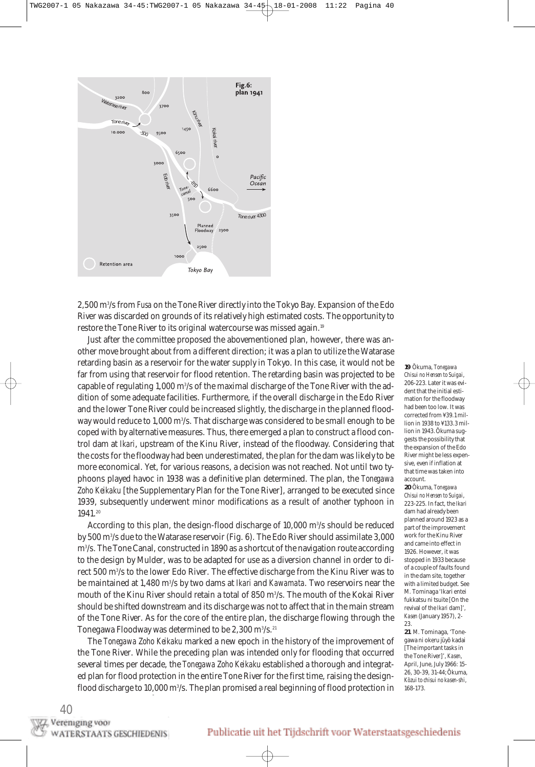

2,500 m<sup>3</sup>/s from *Fusa* on the Tone River directly into the Tokyo Bay. Expansion of the Edo River was discarded on grounds of its relatively high estimated costs. The opportunity to restore the Tone River to its original watercourse was missed again.<sup>19</sup>

Just after the committee proposed the abovementioned plan, however, there was another move brought about from a different direction; it was a plan to utilize the Watarase retarding basin as a reservoir for the water supply in Tokyo. In this case, it would not be far from using that reservoir for flood retention. The retarding basin was projected to be capable of regulating 1,000 m<sup>3</sup>/s of the maximal discharge of the Tone River with the addition of some adequate facilities. Furthermore, if the overall discharge in the Edo River and the lower Tone River could be increased slightly, the discharge in the planned floodway would reduce to 1,000 m<sup>3</sup>/s. That discharge was considered to be small enough to be coped with by alternative measures. Thus, there emerged a plan to construct a flood control dam at *Ikari*, upstream of the Kinu River, instead of the floodway. Considering that the costs for the floodway had been underestimated, the plan for the dam was likely to be more economical. Yet, for various reasons, a decision was not reached. Not until two typhoons played havoc in 1938 was a definitive plan determined. The plan, the *Tonegawa Zoho Keikaku* [the Supplementary Plan for the Tone River], arranged to be executed since 1939, subsequently underwent minor modifications as a result of another typhoon in 1941. 20

According to this plan, the design-flood discharge of 10,000 m<sup>3</sup>/s should be reduced by 500 m3 /s due to the Watarase reservoir (Fig. 6). The Edo River should assimilate 3,000 m3 /s. The Tone Canal, constructed in 1890 as a shortcut of the navigation route according to the design by Mulder, was to be adapted for use as a diversion channel in order to direct 500 m<sup>3</sup>/s to the lower Edo River. The effective discharge from the Kinu River was to be maintained at 1,480 m<sup>3</sup>/s by two dams at *Ikari* and *Kawamata*. Two reservoirs near the mouth of the Kinu River should retain a total of 850 m<sup>3</sup>/s. The mouth of the Kokai River should be shifted downstream and its discharge was not to affect that in the main stream of the Tone River. As for the core of the entire plan, the discharge flowing through the Tonegawa Floodway was determined to be 2,300 m<sup>3</sup>/s.<sup>21</sup>

The *Tonegawa Zoho Keikaku* marked a new epoch in the history of the improvement of the Tone River. While the preceding plan was intended only for flooding that occurred several times per decade, the *Tonegawa Zoho Keikaku* established a thorough and integrated plan for flood protection in the entire Tone River for the first time, raising the designflood discharge to 10,000 m<sup>3</sup>/s. The plan promised a real beginning of flood protection in

19 Okuma, Tonegawa *Chisui no Hensen to Suigai*, 206-223. Later it was evident that the initial estimation for the floodway had been too low. It was corrected from ¥39.1 million in 1938 to ¥133.3 million in 1943. Okuma suggests the possibility that the expansion of the Edo River might be less expensive, even if inflation at that time was taken into account.

20 Okuma, *Tonegawa Chisui no Hensen to Suigai*, 223-225. In fact, the *Ikari* dam had already been planned around 1923 as a part of the improvement work for the Kinu River and came into effect in 1926. However, it was stopped in 1933 because of a couple of faults found in the dam site, together with a limited budget. See M. Tominaga 'Ikari entei fukkatsu ni tsuite [On the revival of the *Ikari* dam]', *Kasen* (January 1957), 2-  $23$ 

**21** M. Tominaga, 'Tonegawa ni okeru juyō kadai [The important tasks in the Tone River]', *Kasen*, April, June, July 1966:15- 26, 30-39, 31-44; Ōkuma, *K¯ozui to chisui no kasen-shi*, 168-173.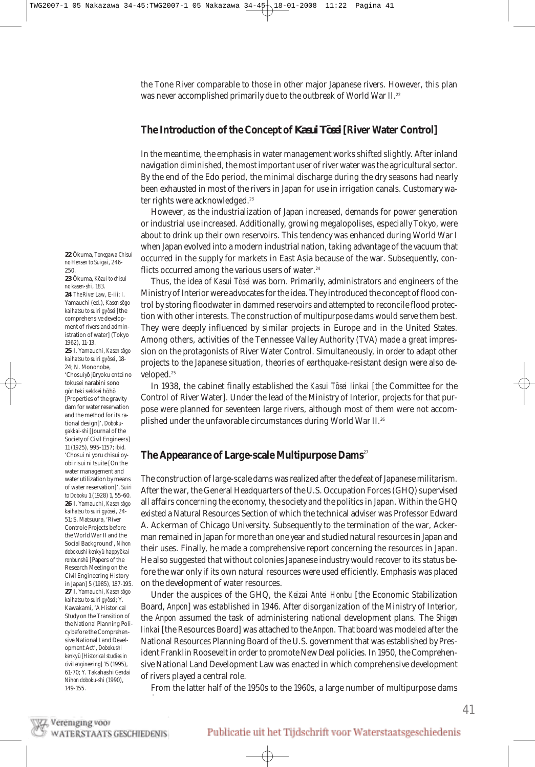the Tone River comparable to those in other major Japanese rivers. However, this plan was never accomplished primarily due to the outbreak of World War II.<sup>22</sup>

#### **The Introduction of the Concept of** *Kasui Tosei* **[River Water Control]**

In the meantime, the emphasis in water management works shifted slightly. After inland navigation diminished, the most important user of river water was the agricultural sector. By the end of the Edo period, the minimal discharge during the dry seasons had nearly been exhausted in most of the rivers in Japan for use in irrigation canals. Customary water rights were acknowledged.<sup>23</sup>

However, as the industrialization of Japan increased, demands for power generation or industrial use increased. Additionally, growing megalopolises, especially Tokyo, were about to drink up their own reservoirs. This tendency was enhanced during World War I when Japan evolved into a modern industrial nation, taking advantage of the vacuum that occurred in the supply for markets in East Asia because of the war. Subsequently, conflicts occurred among the various users of water.<sup>24</sup>

Thus, the idea of *Kasui Tosei* was born. Primarily, administrators and engineers of the Ministry of Interior were advocates for the idea. They introduced the concept of flood control by storing floodwater in dammed reservoirs and attempted to reconcile flood protection with other interests. The construction of multipurpose dams would serve them best. They were deeply influenced by similar projects in Europe and in the United States. Among others, activities of the Tennessee Valley Authority (TVA) made a great impression on the protagonists of River Water Control. Simultaneously, in order to adapt other projects to the Japanese situation, theories of earthquake-resistant design were also developed. 25

In 1938, the cabinet finally established the *Kasui Tosei Iinkai* [the Committee for the Control of River Water]. Under the lead of the Ministry of Interior, projects for that purpose were planned for seventeen large rivers, although most of them were not accomplished under the unfavorable circumstances during World War II.<sup>26</sup>

# **The Appearance of Large-scale Multipurpose Dams** 27

The construction of large-scale dams was realized after the defeat of Japanese militarism. After the war, the General Headquarters of the U.S. Occupation Forces (GHQ) supervised all affairs concerning the economy, the society and the politics in Japan. Within the GHQ existed a Natural Resources Section of which the technical adviser was Professor Edward A. Ackerman of Chicago University. Subsequently to the termination of the war, Ackerman remained in Japan for more than one year and studied naturalresources in Japan and their uses. Finally, he made a comprehensive report concerning the resources in Japan. He also suggested that without colonies Japanese industry would recover to its status before the war only if its own natural resources were used efficiently. Emphasis was placed on the development of water resources.

Under the auspices of the GHQ, the *Keizai Antei Honbu* [the Economic Stabilization Board, *Anpon*] was established in 1946. After disorganization of the Ministry of Interior, the *Anpon* assumed the task of administering national development plans. The *Shigen Iinkai* [the Resources Board] was attached to the *Anpon*. That board was modeled after the National Resources Planning Board of the U.S. government that was established by President Franklin Roosevelt in order to promote New Deal policies. In 1950, the Comprehensive National Land Development Law was enacted in which comprehensive development of rivers played a central role.

From the latter half of the 1950s to the 1960s, a large number of multipurpose dams

**22** O¯ kuma, *Tonegawa Chisui no Hensen to Suigai*, 246- 250. **23** O¯ kuma, *K¯ozui to chisui*

*no kasen-shi*,183. **24** *The River Law*, E-iii; I. Yamauchi (ed.), Kasen sogo  $k$ *aihatsu to suiri gyōsei* [the comprehensive development of rivers and administration of water] (Tokyo 1962),11-13. **25** I. Yamauchi, *Kasen so¯go*  $k$ *aihatsu to suiri gyösei*, 18-24; N. Mononobe, 'Chosuiyō jūryoku entei no tokusei narabini sono göriteki sekkei höhö [Properties of the gravity dam for water reservation and the method for its rational design]', *Dobokugakkai-shi* [Journal of the Society of Civil Engineers] 11(1925), 995-1157; *ibid*. 'Chosui ni yoru chisui oyobi risui ni tsuite [On the water management and water utilization by means of water reservation]', *Suiri to Doboku* 1(1928)1, 55-60. 26 I. Yamauchi, Kasen sogo *kaihatsu to suiri gyo¯sei*, 24- 51; S. Matsuura, 'River Controle Projects before the World War II and the Social Background', *Nihon dobokushi kenkyu¯ happyo¯kai ronbunshu¯* [Papers of the Research Meeting on the Civil Engineering History in Japan] 5 (1985), 187-195. **27** I. Yamauchi, *Kasen so¯go*  $k$ *aihatsu to suiri gyōsei*; Y. Kawakami, 'A Historical Study on the Transition of the National Planning Policy before the Comprehensive National Land Development Act', *Dobokushi kenkyu¯ [Historical studies in civil engineering]*15 (1995), 61-70; Y. Takahashi *Gendai Nihon doboku-shi* (1990), 149-155.

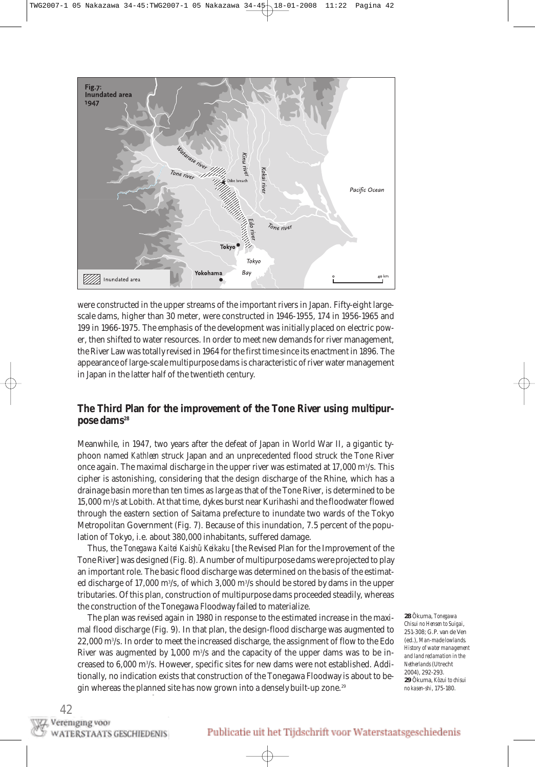

were constructed in the upper streams of the important rivers in Japan. Fifty-eight largescale dams, higher than 30 meter, were constructed in 1946-1955, 174 in 1956-1965 and 199 in 1966-1975. The emphasis of the development was initially placed on electric power, then shifted to water resources. In order to meet new demands for river management, the River Law was totally revised in 1964 forthe first time since its enactment in 1896. The appearance of large-scale multipurpose dams is characteristic of river water management in Japan in the latter half of the twentieth century.

## **The Third Plan for the improvement of the Tone River using multipurpose** dams<sup>28</sup>

Meanwhile, in 1947, two years after the defeat of Japan in World War II, a gigantic typhoon named *Kathleen* struck Japan and an unprecedented flood struck the Tone River once again. The maximal discharge in the upper river was estimated at 17,000 m<sup>3</sup>/s. This cipher is astonishing, considering that the design discharge of the Rhine, which has a drainage basin more than ten times as large as that of the Tone River, is determined to be 15,000 m3 /s at Lobith. At that time, dykes burst near Kurihashi and the floodwater flowed through the eastern section of Saitama prefecture to inundate two wards of the Tokyo Metropolitan Government (Fig. 7). Because of this inundation, 7.5 percent of the population of Tokyo, i.e. about 380,000 inhabitants, suffered damage.

Thus, the *Tonegawa Kaitei Kaishu¯ Keikaku* [the Revised Plan for the Improvement of the Tone River] was designed (Fig. 8). A number of multipurpose dams were projected to play an important role. The basic flood discharge was determined on the basis of the estimated discharge of 17,000 m<sup>3</sup>/s, of which 3,000 m<sup>3</sup>/s should be stored by dams in the upper tributaries. Of this plan, construction of multipurpose dams proceeded steadily, whereas the construction of the Tonegawa Floodway failed to materialize.

The plan was revised again in 1980 in response to the estimated increase in the maximal flood discharge (Fig. 9). In that plan, the design-flood discharge was augmented to 22,000 m<sup>3</sup>/s. In order to meet the increased discharge, the assignment of flow to the Edo River was augmented by 1,000  $m^3/s$  and the capacity of the upper dams was to be increased to 6,000 m3 /s. However, specific sites for new dams were not established. Additionally, no indication exists that construction of the Tonegawa Floodway is about to begin whereas the planned site has now grown into a densely built-up zone.<sup>29</sup>

28 Ōkuma, Tonegawa *Chisui no Hensen to Suigai*, 251-308; G.P. van de Ven (ed.), *Man-made lowlands. History of water management and land reclamation in the Netherlands* (Utrecht 2004), 292-293. **29** O¯ kuma, *K¯ozui to chisui no kasen-shi*,175-180.

42 Vereniging voor ATERSTAATS GESCHIEDENIS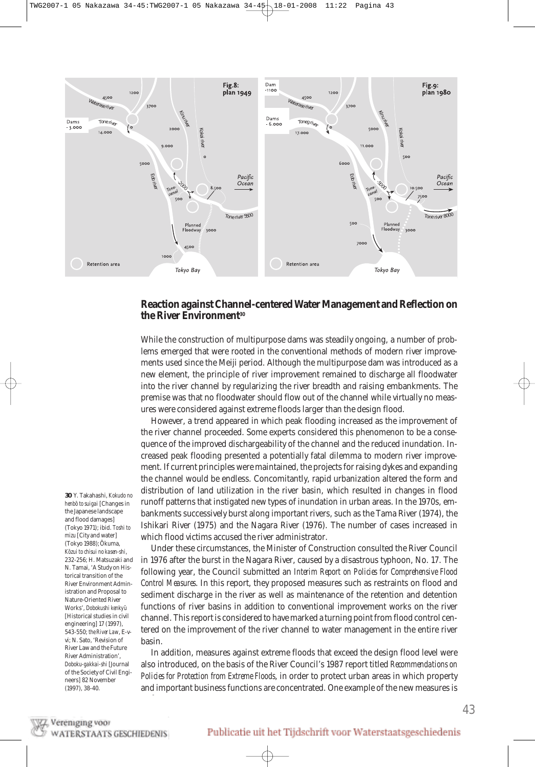

#### **Reaction against Channel-centered Water Management and Reflection on the River Environment 30**

While the construction of multipurpose dams was steadily ongoing, a number of problems emerged that were rooted in the conventional methods of modern river improvements used since the Meiji period. Although the multipurpose dam was introduced as a new element, the principle of river improvement remained to discharge all floodwater into the river channel by regularizing the river breadth and raising embankments. The premise was that no floodwater should flow out of the channel while virtually no measures were considered against extreme floods larger than the design flood.

However, a trend appeared in which peak flooding increased as the improvement of the river channel proceeded. Some experts considered this phenomenon to be a consequence of the improved dischargeability of the channel and the reduced inundation. Increased peak flooding presented a potentially fatal dilemma to modern river improvement. If current principleswere maintained, the projects forraising dykes and expanding the channel would be endless. Concomitantly, rapid urbanization altered the form and distribution of land utilization in the river basin, which resulted in changes in flood runoff patterns that instigated new types of inundation in urban areas. In the 1970s, embankments successively burst along important rivers, such as the Tama River (1974), the Ishikari River (1975) and the Nagara River (1976). The number of cases increased in which flood victims accused the river administrator.

Under these circumstances, the Minister of Construction consulted the River Council in 1976 after the burst in the Nagara River, caused by a disastrous typhoon, No. 17. The following year, the Council submitted an *Interim Report on Policies for Comprehensive Flood Control Measures*. In this report, they proposed measures such as restraints on flood and sediment discharge in the river as well as maintenance of the retention and detention functions of river basins in addition to conventional improvement works on the river channel. This report is considered to have marked a turning point from flood control centered on the improvement of the river channel to water management in the entire river basin.

In addition, measures against extreme floods that exceed the design flood level were also introduced, on the basis of the River Council's 1987 report titled *Recommendations on Policies for Protection from Extreme Floods*, in order to protect urban areas in which property and important business functions are concentrated. One example of the new measures is

**30** Y. Takahashi, *Kokudo no henbo¯ to suigai* [Changes in the Japanese landscape and flood damages] (Tokyo 1971); ibid. *Toshi to mizu* [City and water] (Tokyo 1988); Okuma, *K¯ozui to chisui no kasen-shi*, 232-256; H. Matsuzaki and N. Tamai, 'A Study on Historical transition of the River Environment Administration and Proposal to Nature-Oriented River Works', *Dobokushi kenkyu¯* [Historical studies in civil engineering]17 (1997), 543-550; *the River Law*, E-vvi; N. Sato, 'Revision of River Law and the Future River Administration', *Doboku-gakkai-shi* [Journal of the Society of Civil Engineers] 82 November

(1997), 38-40.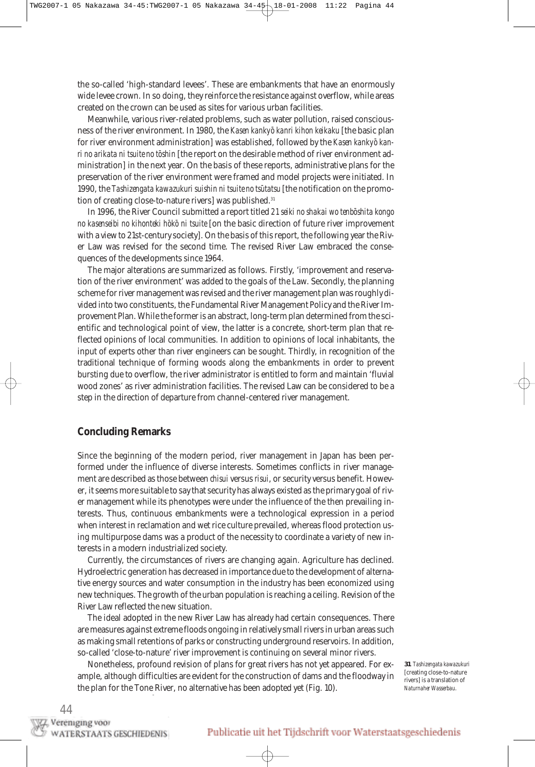the so-called 'high-standard levees'. These are embankments that have an enormously wide levee crown. In so doing, they reinforce the resistance against overflow, while areas created on the crown can be used as sites for various urban facilities.

Meanwhile, various river-related problems, such as water pollution, raised consciousness of the river environment. In 1980, the Kasen kankyo kanri kihon keikaku [the basic plan for river environment administration] was established, followed by the *Kasen kankyō kanri* no arikata ni *tsuite* no *tōshin* [the report on the desirable method of river environment administration] in the next year. On the basis of these reports, administrative plans for the preservation of the river environment were framed and model projects were initiated. In 1990, the Tashizengata kawazukuri *suishin ni tsuite no tsutatsu* [the notification on the promotion of creating close-to-nature rivers] was published.<sup>31</sup>

In 1996, the River Council submitted a report titled 21 *seiki no shakai wo tenboshita kongo no kasenseibi no kihonteki hōkō ni tsuite* [on the basic direction of future river improvement with a view to 21st-century society]. On the basis of this report, the following year the River Law was revised for the second time. The revised River Law embraced the consequences of the developments since 1964.

The major alterations are summarized as follows. Firstly, 'improvement and reservation of the river environment' was added to the goals of the Law. Secondly, the planning scheme for river management was revised and the river management plan was roughly divided into two constituents, the Fundamental River Management Policy and the RiverImprovement Plan. While the formeris an abstract, long-term plan determined from the scientific and technological point of view, the latter is a concrete, short-term plan that reflected opinions of local communities. In addition to opinions of local inhabitants, the input of experts other than river engineers can be sought. Thirdly, in recognition of the traditional technique of forming woods along the embankments in order to prevent bursting due to overflow, the river administrator is entitled to form and maintain 'fluvial wood zones' as river administration facilities. The revised Law can be considered to be a step in the direction of departure from channel-centered river management.

#### **Concluding Remarks**

Since the beginning of the modern period, river management in Japan has been performed under the influence of diverse interests. Sometimes conflicts in river management are described as those between *chisui* versus *risui*, or security versus benefit. However, it seems more suitable to say that security has always existed as the primary goal ofriver management while its phenotypes were under the influence of the then prevailing interests. Thus, continuous embankments were a technological expression in a period when interest in reclamation and wet rice culture prevailed, whereas flood protection using multipurpose dams was a product of the necessity to coordinate a variety of new interests in a modern industrialized society.

Currently, the circumstances of rivers are changing again. Agriculture has declined. Hydroelectric generation has decreased in importance due to the development of alternative energy sources and water consumption in the industry has been economized using newtechniques. The growth of the urban population is reaching a ceiling. Revision of the River Law reflected the new situation.

The ideal adopted in the new River Law has already had certain consequences. There are measures against extreme floods ongoing in relatively small rivers in urban areas such as making smallretentions of parks or constructing underground reservoirs. In addition, so-called 'close-to-nature' river improvement is continuing on several minor rivers.

Nonetheless, profound revision of plans for great rivers has not yet appeared. For example, although difficulties are evident for the construction of dams and the floodway in the plan for the Tone River, no alternative has been adopted yet (Fig. 10).

**31** *Tashizengata kawazukuri* [creating close-to-nature rivers] is a translation of *Naturnaher Wasserbau*.

44 Vereniging voor **WATERSTAATS GESCHIEDENIS**